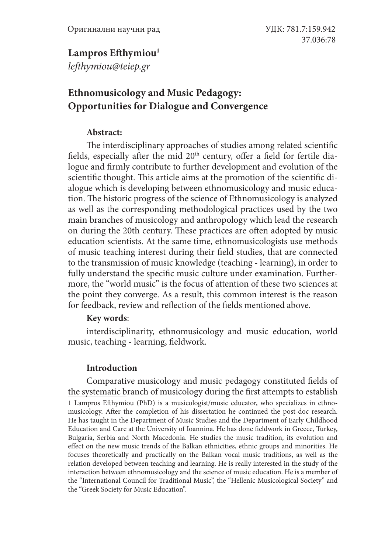### Lampros Efthymiou<sup>1</sup>

*lefthymiou@teiep.gr*

# **Ethnomusicology and Music Pedagogy: Opportunities for Dialogue and Convergence**

#### **Abstract:**

The interdisciplinary approaches of studies among related scientific fields, especially after the mid 20<sup>th</sup> century, offer a field for fertile dialogue and firmly contribute to further development and evolution of the scientific thought. This article aims at the promotion of the scientific dialogue which is developing between ethnomusicology and music education. The historic progress of the science of Ethnomusicology is analyzed as well as the corresponding methodological practices used by the two main branches of musicology and anthropology which lead the research on during the 20th century. These practices are often adopted by music education scientists. At the same time, ethnomusicologists use methods of music teaching interest during their field studies, that are connected to the transmission of music knowledge (teaching - learning), in order to fully understand the specific music culture under examination. Furthermore, the "world music" is the focus of attention of these two sciences at the point they converge. As a result, this common interest is the reason for feedback, review and reflection of the fields mentioned above.

#### **Key words**:

interdisciplinarity, ethnomusicology and music education, world music, teaching - learning, fieldwork.

### **Introduction**

Comparative musicology and music pedagogy constituted fields of the systematic branch of musicology during the first attempts to establish 1 Lampros Efthymiou (PhD) is a musicologist/music educator, who specializes in ethnomusicology. After the completion of his dissertation he continued the post-doc research. He has taught in the Department of Music Studies and the Department of Early Childhood Education and Care at the University of Ioannina. He has done fieldwork in Greece, Turkey, Bulgaria, Serbia and North Macedonia. He studies the music tradition, its evolution and effect on the new music trends of the Balkan ethnicities, ethnic groups and minorities. He focuses theoretically and practically on the Balkan vocal music traditions, as well as the relation developed between teaching and learning. He is really interested in the study of the interaction between ethnomusicology and the science of music education. He is a member of the "International Council for Traditional Music", the "Hellenic Musicological Society" and the "Greek Society for Music Education".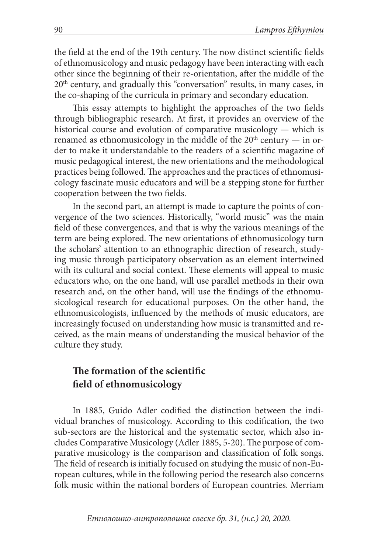the field at the end of the 19th century. The now distinct scientific fields of ethnomusicology and music pedagogy have been interacting with each other since the beginning of their re-orientation, after the middle of the 20th century, and gradually this "conversation" results, in many cases, in the co-shaping of the curricula in primary and secondary education.

This essay attempts to highlight the approaches of the two fields through bibliographic research. At first, it provides an overview of the historical course and evolution of comparative musicology — which is renamed as ethnomusicology in the middle of the  $20<sup>th</sup>$  century — in order to make it understandable to the readers of a scientific magazine of music pedagogical interest, the new orientations and the methodological practices being followed. The approaches and the practices of ethnomusicology fascinate music educators and will be a stepping stone for further cooperation between the two fields.

In the second part, an attempt is made to capture the points of convergence of the two sciences. Historically, "world music" was the main field of these convergences, and that is why the various meanings of the term are being explored. The new orientations of ethnomusicology turn the scholars' attention to an ethnographic direction of research, studying music through participatory observation as an element intertwined with its cultural and social context. These elements will appeal to music educators who, on the one hand, will use parallel methods in their own research and, on the other hand, will use the findings of the ethnomusicological research for educational purposes. On the other hand, the ethnomusicologists, influenced by the methods of music educators, are increasingly focused on understanding how music is transmitted and received, as the main means of understanding the musical behavior of the culture they study.

## **The formation of the scientific field of ethnomusicology**

In 1885, Guido Adler codified the distinction between the individual branches of musicology. According to this codification, the two sub-sectors are the historical and the systematic sector, which also includes Comparative Musicology (Adler 1885, 5-20). The purpose of comparative musicology is the comparison and classification of folk songs. The field of research is initially focused on studying the music of non-European cultures, while in the following period the research also concerns folk music within the national borders of European countries. Merriam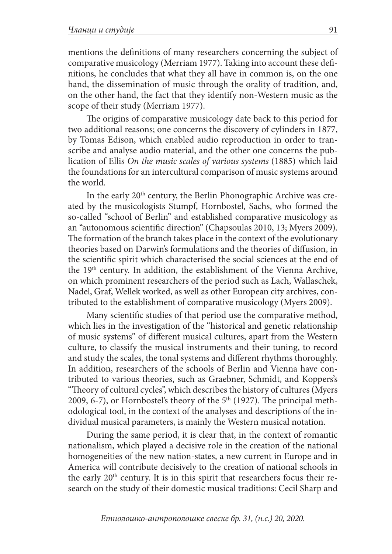mentions the definitions of many researchers concerning the subject of comparative musicology (Merriam 1977). Taking into account these definitions, he concludes that what they all have in common is, on the one hand, the dissemination of music through the orality of tradition, and, on the other hand, the fact that they identify non-Western music as the scope of their study (Merriam 1977).

The origins of comparative musicology date back to this period for two additional reasons; one concerns the discovery of cylinders in 1877, by Tomas Edison, which enabled audio reproduction in order to transcribe and analyse audio material, and the other one concerns the publication of Ellis *On the music scales of various systems* (1885) which laid the foundations for an intercultural comparison of music systems around the world.

In the early 20<sup>th</sup> century, the Berlin Phonographic Archive was created by the musicologists Stumpf, Hornbostel, Sachs, who formed the so-called "school of Berlin" and established comparative musicology as an "autonomous scientific direction" (Chapsoulas 2010, 13; Myers 2009). The formation of the branch takes place in the context of the evolutionary theories based on Darwin's formulations and the theories of diffusion, in the scientific spirit which characterised the social sciences at the end of the 19<sup>th</sup> century. In addition, the establishment of the Vienna Archive, on which prominent researchers of the period such as Lach, Wallaschek, Nadel, Graf, Wellek worked, as well as other European city archives, contributed to the establishment of comparative musicology (Myers 2009).

Many scientific studies of that period use the comparative method, which lies in the investigation of the "historical and genetic relationship of music systems" of different musical cultures, apart from the Western culture, to classify the musical instruments and their tuning, to record and study the scales, the tonal systems and different rhythms thoroughly. In addition, researchers of the schools of Berlin and Vienna have contributed to various theories, such as Graebner, Schmidt, and Koppers's "Theory of cultural cycles", which describes the history of cultures (Myers 2009, 6-7), or Hornbostel's theory of the  $5<sup>th</sup>$  (1927). The principal methodological tool, in the context of the analyses and descriptions of the individual musical parameters, is mainly the Western musical notation.

During the same period, it is clear that, in the context of romantic nationalism, which played a decisive role in the creation of the national homogeneities of the new nation-states, a new current in Europe and in America will contribute decisively to the creation of national schools in the early  $20<sup>th</sup>$  century. It is in this spirit that researchers focus their research on the study of their domestic musical traditions: Cecil Sharp and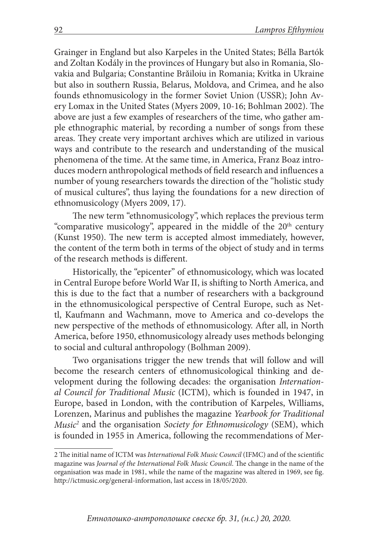Grainger in England but also Karpeles in the United States; Bélla Bartók and Zoltan Kodály in the provinces of Hungary but also in Romania, Slovakia and Bulgaria; Constantine Brǎiloiu in Romania; Kvitka in Ukraine but also in southern Russia, Belarus, Moldova, and Crimea, and he also founds ethnomusicology in the former Soviet Union (USSR); John Avery Lomax in the United States (Myers 2009, 10-16; Bohlman 2002). The above are just a few examples of researchers of the time, who gather ample ethnographic material, by recording a number of songs from these areas. They create very important archives which are utilized in various ways and contribute to the research and understanding of the musical phenomena of the time. At the same time, in America, Franz Boaz introduces modern anthropological methods of field research and influences a number of young researchers towards the direction of the "holistic study of musical cultures", thus laying the foundations for a new direction of ethnomusicology (Myers 2009, 17).

The new term "ethnomusicology", which replaces the previous term "comparative musicology", appeared in the middle of the 20<sup>th</sup> century (Kunst 1950). The new term is accepted almost immediately, however, the content of the term both in terms of the object of study and in terms of the research methods is different.

Historically, the "epicenter" of ethnomusicology, which was located in Central Europe before World War II, is shifting to North America, and this is due to the fact that a number of researchers with a background in the ethnomusicological perspective of Central Europe, such as Nettl, Kaufmann and Wachmann, move to America and co-develops the new perspective of the methods of ethnomusicology. After all, in North America, before 1950, ethnomusicology already uses methods belonging to social and cultural anthropology (Bolhman 2009).

Two organisations trigger the new trends that will follow and will become the research centers of ethnomusicological thinking and development during the following decades: the organisation *International Council for Traditional Music* (ICTM), which is founded in 1947, in Europe, based in London, with the contribution of Karpeles, Williams, Lorenzen, Marinus and publishes the magazine *Yearbook for Traditional Music2* and the organisation *Society for Ethnomusicology* (SEM), which is founded in 1955 in America, following the recommendations of Mer-

<sup>2</sup> The initial name of ICTM was *International Folk Music Council* (IFMC) and of the scientific magazine was *Journal of the International Folk Music Council*. The change in the name of the organisation was made in 1981, while the name of the magazine was altered in 1969, see fig. http://ictmusic.org/general-information, last access in 18/05/2020.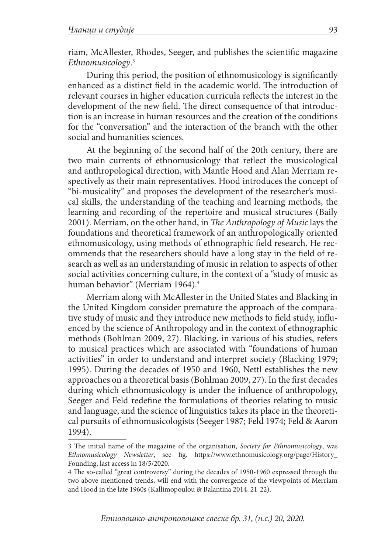riam, McAllester, Rhodes, Seeger, and publishes the scientific magazine *Ethnomusicology*. 3

During this period, the position of ethnomusicology is significantly enhanced as a distinct field in the academic world. The introduction of relevant courses in higher education curricula reflects the interest in the development of the new field. The direct consequence of that introduction is an increase in human resources and the creation of the conditions for the "conversation" and the interaction of the branch with the other social and humanities sciences.

At the beginning of the second half of the 20th century, there are two main currents of ethnomusicology that reflect the musicological and anthropological direction, with Mantle Hood and Alan Merriam respectively as their main representatives. Hood introduces the concept of "bi-musicality" and proposes the development of the researcher's musical skills, the understanding of the teaching and learning methods, the learning and recording of the repertoire and musical structures (Baily 2001). Merriam, on the other hand, in *The Anthropology of Music* lays the foundations and theoretical framework of an anthropologically oriented ethnomusicology, using methods of ethnographic field research. He recommends that the researchers should have a long stay in the field of research as well as an understanding of music in relation to aspects of other social activities concerning culture, in the context of a "study of music as human behavior" (Merriam 1964).<sup>4</sup>

Merriam along with McAllester in the United States and Blacking in the United Kingdom consider premature the approach of the comparative study of music and they introduce new methods to field study, influenced by the science of Anthropology and in the context of ethnographic methods (Bohlman 2009, 27). Blacking, in various of his studies, refers to musical practices which are associated with "foundations of human activities" in order to understand and interpret society (Blacking 1979; 1995). During the decades of 1950 and 1960, Nettl establishes the new approaches on a theoretical basis (Bohlman 2009, 27). In the first decades during which ethnomusicology is under the influence of anthropology, Seeger and Feld redefine the formulations of theories relating to music and language, and the science of linguistics takes its place in the theoretical pursuits of ethnomusicologists (Seeger 1987; Feld 1974; Feld & Aaron 1994).

<sup>3</sup> The initial name of the magazine of the organisation, *Society for Ethnomusicology*, was *Ethnomusicology Newsletter*, see fig. https://www.ethnomusicology.org/page/History\_ Founding, last access in 18/5/2020.

<sup>4</sup> The so-called "great controversy" during the decades of 1950-1960 expressed through the two above-mentioned trends, will end with the convergence of the viewpoints of Merriam and Hood in the late 1960s (Kallimopoulou & Balantina 2014, 21-22).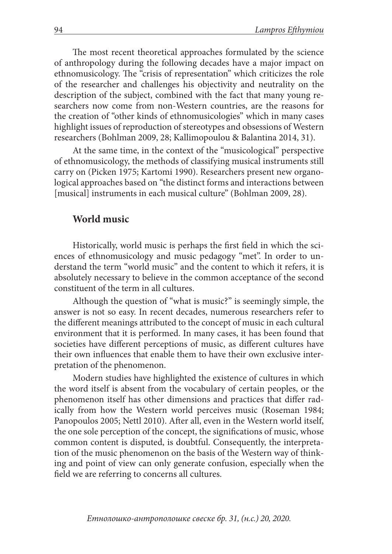The most recent theoretical approaches formulated by the science of anthropology during the following decades have a major impact on ethnomusicology. The "crisis of representation" which criticizes the role of the researcher and challenges his objectivity and neutrality on the description of the subject, combined with the fact that many young researchers now come from non-Western countries, are the reasons for the creation of "other kinds of ethnomusicologies" which in many cases highlight issues of reproduction of stereotypes and obsessions of Western researchers (Bohlman 2009, 28; Kallimopoulou & Balantina 2014, 31).

At the same time, in the context of the "musicological" perspective of ethnomusicology, the methods of classifying musical instruments still carry on (Picken 1975; Kartomi 1990). Researchers present new organological approaches based on "the distinct forms and interactions between [musical] instruments in each musical culture" (Bohlman 2009, 28).

#### **World music**

Historically, world music is perhaps the first field in which the sciences of ethnomusicology and music pedagogy "met". In order to understand the term "world music" and the content to which it refers, it is absolutely necessary to believe in the common acceptance of the second constituent of the term in all cultures.

Although the question of "what is music?" is seemingly simple, the answer is not so easy. In recent decades, numerous researchers refer to the different meanings attributed to the concept of music in each cultural environment that it is performed. In many cases, it has been found that societies have different perceptions of music, as different cultures have their own influences that enable them to have their own exclusive interpretation of the phenomenon.

Modern studies have highlighted the existence of cultures in which the word itself is absent from the vocabulary of certain peoples, or the phenomenon itself has other dimensions and practices that differ radically from how the Western world perceives music (Roseman 1984; Panopoulos 2005; Nettl 2010). After all, even in the Western world itself, the one sole perception of the concept, the significations of music, whose common content is disputed, is doubtful. Consequently, the interpretation of the music phenomenon on the basis of the Western way of thinking and point of view can only generate confusion, especially when the field we are referring to concerns all cultures.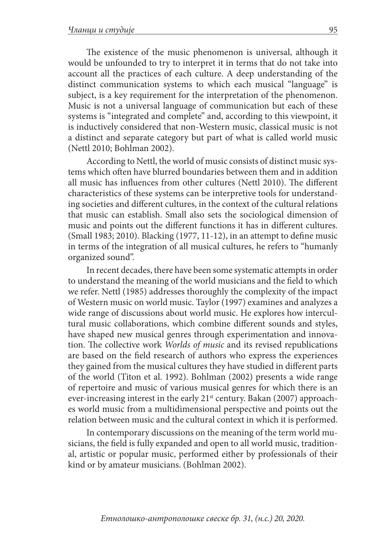The existence of the music phenomenon is universal, although it would be unfounded to try to interpret it in terms that do not take into account all the practices of each culture. A deep understanding of the distinct communication systems to which each musical "language" is subject, is a key requirement for the interpretation of the phenomenon. Music is not a universal language of communication but each of these systems is "integrated and complete" and, according to this viewpoint, it is inductively considered that non-Western music, classical music is not a distinct and separate category but part of what is called world music (Nettl 2010; Bohlman 2002).

According to Nettl, the world of music consists of distinct music systems which often have blurred boundaries between them and in addition all music has influences from other cultures (Nettl 2010). The different characteristics of these systems can be interpretive tools for understanding societies and different cultures, in the context of the cultural relations that music can establish. Small also sets the sociological dimension of music and points out the different functions it has in different cultures. (Small 1983; 2010). Blacking (1977, 11-12), in an attempt to define music in terms of the integration of all musical cultures, he refers to "humanly organized sound".

In recent decades, there have been some systematic attempts in order to understand the meaning of the world musicians and the field to which we refer. Nettl (1985) addresses thoroughly the complexity of the impact of Western music on world music. Taylor (1997) examines and analyzes a wide range of discussions about world music. He explores how intercultural music collaborations, which combine different sounds and styles, have shaped new musical genres through experimentation and innovation. The collective work *Worlds of music* and its revised republications are based on the field research of authors who express the experiences they gained from the musical cultures they have studied in different parts of the world (Titon et al. 1992). Bohlman (2002) presents a wide range of repertoire and music of various musical genres for which there is an ever-increasing interest in the early 21<sup>st</sup> century. Bakan (2007) approaches world music from a multidimensional perspective and points out the relation between music and the cultural context in which it is performed.

In contemporary discussions on the meaning of the term world musicians, the field is fully expanded and open to all world music, traditional, artistic or popular music, performed either by professionals of their kind or by amateur musicians. (Bohlman 2002).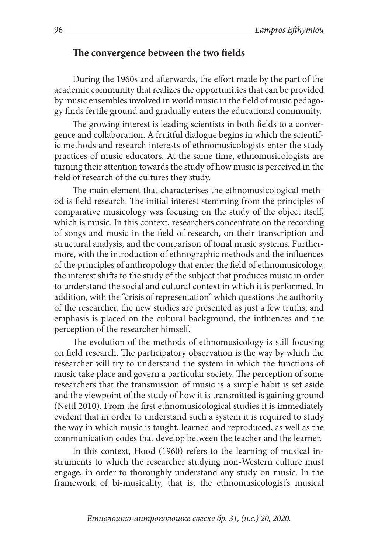#### **The convergence between the two fields**

During the 1960s and afterwards, the effort made by the part of the academic community that realizes the opportunities that can be provided by music ensembles involved in world music in the field of music pedagogy finds fertile ground and gradually enters the educational community.

The growing interest is leading scientists in both fields to a convergence and collaboration. A fruitful dialogue begins in which the scientific methods and research interests of ethnomusicologists enter the study practices of music educators. At the same time, ethnomusicologists are turning their attention towards the study of how music is perceived in the field of research of the cultures they study.

The main element that characterises the ethnomusicological method is field research. The initial interest stemming from the principles of comparative musicology was focusing on the study of the object itself, which is music. In this context, researchers concentrate on the recording of songs and music in the field of research, on their transcription and structural analysis, and the comparison of tonal music systems. Furthermore, with the introduction of ethnographic methods and the influences of the principles of anthropology that enter the field of ethnomusicology, the interest shifts to the study of the subject that produces music in order to understand the social and cultural context in which it is performed. In addition, with the "crisis of representation" which questions the authority of the researcher, the new studies are presented as just a few truths, and emphasis is placed on the cultural background, the influences and the perception of the researcher himself.

The evolution of the methods of ethnomusicology is still focusing on field research. The participatory observation is the way by which the researcher will try to understand the system in which the functions of music take place and govern a particular society. The perception of some researchers that the transmission of music is a simple habit is set aside and the viewpoint of the study of how it is transmitted is gaining ground (Nettl 2010). From the first ethnomusicological studies it is immediately evident that in order to understand such a system it is required to study the way in which music is taught, learned and reproduced, as well as the communication codes that develop between the teacher and the learner.

In this context, Hood (1960) refers to the learning of musical instruments to which the researcher studying non-Western culture must engage, in order to thoroughly understand any study on music. In the framework of bi-musicality, that is, the ethnomusicologist's musical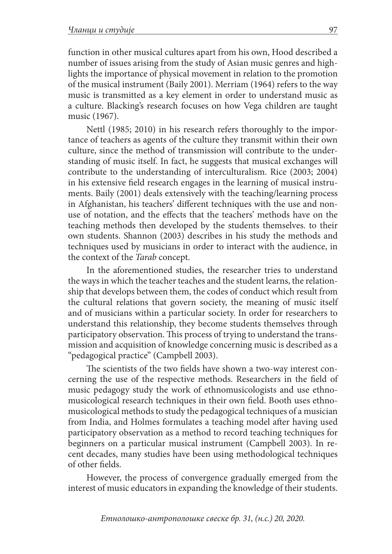function in other musical cultures apart from his own, Hood described a number of issues arising from the study of Asian music genres and highlights the importance of physical movement in relation to the promotion of the musical instrument (Baily 2001). Merriam (1964) refers to the way music is transmitted as a key element in order to understand music as a culture. Blacking's research focuses on how Vega children are taught music (1967).

Nettl (1985; 2010) in his research refers thoroughly to the importance of teachers as agents of the culture they transmit within their own culture, since the method of transmission will contribute to the understanding of music itself. In fact, he suggests that musical exchanges will contribute to the understanding of interculturalism. Rice (2003; 2004) in his extensive field research engages in the learning of musical instruments. Baily (2001) deals extensively with the teaching/learning process in Afghanistan, his teachers' different techniques with the use and nonuse of notation, and the effects that the teachers' methods have on the teaching methods then developed by the students themselves. to their own students. Shannon (2003) describes in his study the methods and techniques used by musicians in order to interact with the audience, in the context of the *Tarab* concept.

In the aforementioned studies, the researcher tries to understand the ways in which the teacher teaches and the student learns, the relationship that develops between them, the codes of conduct which result from the cultural relations that govern society, the meaning of music itself and of musicians within a particular society. In order for researchers to understand this relationship, they become students themselves through participatory observation. This process of trying to understand the transmission and acquisition of knowledge concerning music is described as a "pedagogical practice" (Campbell 2003).

The scientists of the two fields have shown a two-way interest concerning the use of the respective methods. Researchers in the field of music pedagogy study the work of ethnomusicologists and use ethnomusicological research techniques in their own field. Booth uses ethnomusicological methods to study the pedagogical techniques of a musician from India, and Holmes formulates a teaching model after having used participatory observation as a method to record teaching techniques for beginners on a particular musical instrument (Campbell 2003). In recent decades, many studies have been using methodological techniques of other fields.

However, the process of convergence gradually emerged from the interest of music educators in expanding the knowledge of their students.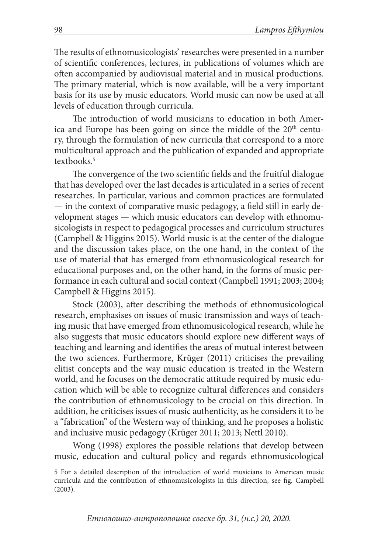The results of ethnomusicologists' researches were presented in a number of scientific conferences, lectures, in publications of volumes which are often accompanied by audiovisual material and in musical productions. The primary material, which is now available, will be a very important basis for its use by music educators. World music can now be used at all levels of education through curricula.

The introduction of world musicians to education in both America and Europe has been going on since the middle of the 20<sup>th</sup> century, through the formulation of new curricula that correspond to a more multicultural approach and the publication of expanded and appropriate textbooks.<sup>5</sup>

The convergence of the two scientific fields and the fruitful dialogue that has developed over the last decades is articulated in a series of recent researches. In particular, various and common practices are formulated — in the context of comparative music pedagogy, a field still in early development stages — which music educators can develop with ethnomusicologists in respect to pedagogical processes and curriculum structures (Campbell & Higgins 2015). World music is at the center of the dialogue and the discussion takes place, on the one hand, in the context of the use of material that has emerged from ethnomusicological research for educational purposes and, on the other hand, in the forms of music performance in each cultural and social context (Campbell 1991; 2003; 2004; Campbell & Higgins 2015).

Stock (2003), after describing the methods of ethnomusicological research, emphasises on issues of music transmission and ways of teaching music that have emerged from ethnomusicological research, while he also suggests that music educators should explore new different ways of teaching and learning and identifies the areas of mutual interest between the two sciences. Furthermore, Krüger (2011) criticises the prevailing elitist concepts and the way music education is treated in the Western world, and he focuses on the democratic attitude required by music education which will be able to recognize cultural differences and considers the contribution of ethnomusicology to be crucial on this direction. In addition, he criticises issues of music authenticity, as he considers it to be a "fabrication" of the Western way of thinking, and he proposes a holistic and inclusive music pedagogy (Krüger 2011; 2013; Nettl 2010).

Wong (1998) explores the possible relations that develop between music, education and cultural policy and regards ethnomusicological

<sup>5</sup> For a detailed description of the introduction of world musicians to American music curricula and the contribution of ethnomusicologists in this direction, see fig. Campbell (2003).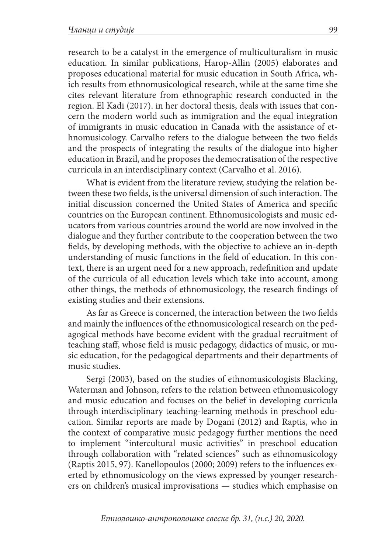research to be a catalyst in the emergence of multiculturalism in music education. In similar publications, Harop-Allin (2005) elaborates and proposes educational material for music education in South Africa, which results from ethnomusicological research, while at the same time she cites relevant literature from ethnographic research conducted in the region. El Kadi (2017). in her doctoral thesis, deals with issues that concern the modern world such as immigration and the equal integration of immigrants in music education in Canada with the assistance of ethnomusicology. Carvalho refers to the dialogue between the two fields and the prospects of integrating the results of the dialogue into higher education in Brazil, and he proposes the democratisation of the respective curricula in an interdisciplinary context (Carvalho et al. 2016).

What is evident from the literature review, studying the relation between these two fields, is the universal dimension of such interaction. The initial discussion concerned the United States of America and specific countries on the European continent. Ethnomusicologists and music educators from various countries around the world are now involved in the dialogue and they further contribute to the cooperation between the two fields, by developing methods, with the objective to achieve an in-depth understanding of music functions in the field of education. In this context, there is an urgent need for a new approach, redefinition and update of the curricula of all education levels which take into account, among other things, the methods of ethnomusicology, the research findings of existing studies and their extensions.

As far as Greece is concerned, the interaction between the two fields and mainly the influences of the ethnomusicological research on the pedagogical methods have become evident with the gradual recruitment of teaching staff, whose field is music pedagogy, didactics of music, or music education, for the pedagogical departments and their departments of music studies.

Sergi (2003), based on the studies of ethnomusicologists Blacking, Waterman and Johnson, refers to the relation between ethnomusicology and music education and focuses on the belief in developing curricula through interdisciplinary teaching-learning methods in preschool education. Similar reports are made by Dogani (2012) and Raptis, who in the context of comparative music pedagogy further mentions the need to implement "intercultural music activities" in preschool education through collaboration with "related sciences" such as ethnomusicology (Raptis 2015, 97). Kanellopoulos (2000; 2009) refers to the influences exerted by ethnomusicology on the views expressed by younger researchers on children's musical improvisations — studies which emphasise on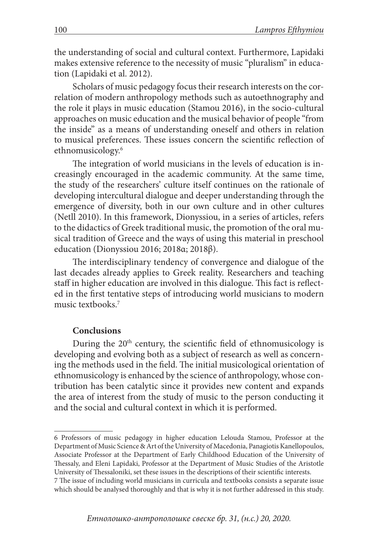the understanding of social and cultural context. Furthermore, Lapidaki makes extensive reference to the necessity of music "pluralism" in education (Lapidaki et al. 2012).

Scholars of music pedagogy focus their research interests on the correlation of modern anthropology methods such as autoethnography and the role it plays in music education (Stamou 2016), in the socio-cultural approaches on music education and the musical behavior of people "from the inside" as a means of understanding oneself and others in relation to musical preferences. These issues concern the scientific reflection of ethnomusicology.6

The integration of world musicians in the levels of education is increasingly encouraged in the academic community. At the same time, the study of the researchers' culture itself continues on the rationale of developing intercultural dialogue and deeper understanding through the emergence of diversity, both in our own culture and in other cultures (Netll 2010). In this framework, Dionyssiou, in a series of articles, refers to the didactics of Greek traditional music, the promotion of the oral musical tradition of Greece and the ways of using this material in preschool education (Dionyssiou 2016; 2018α; 2018β).

The interdisciplinary tendency of convergence and dialogue of the last decades already applies to Greek reality. Researchers and teaching staff in higher education are involved in this dialogue. This fact is reflected in the first tentative steps of introducing world musicians to modern music textbooks.7

#### **Conclusions**

During the 20<sup>th</sup> century, the scientific field of ethnomusicology is developing and evolving both as a subject of research as well as concerning the methods used in the field. The initial musicological orientation of ethnomusicology is enhanced by the science of anthropology, whose contribution has been catalytic since it provides new content and expands the area of interest from the study of music to the person conducting it and the social and cultural context in which it is performed.

<sup>6</sup> Professors of music pedagogy in higher education Lelouda Stamou, Professor at the Department of Music Science & Art of the University of Macedonia, Panagiotis Kanellopoulos, Associate Professor at the Department of Early Childhood Education of the University of Thessaly, and Eleni Lapidaki, Professor at the Department of Music Studies of the Aristotle University of Thessaloniki, set these issues in the descriptions of their scientific interests. 7 The issue of including world musicians in curricula and textbooks consists a separate issue which should be analysed thoroughly and that is why it is not further addressed in this study.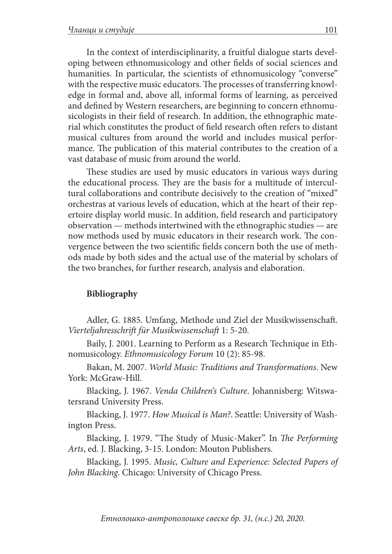In the context of interdisciplinarity, a fruitful dialogue starts developing between ethnomusicology and other fields of social sciences and humanities. In particular, the scientists of ethnomusicology "converse" with the respective music educators. The processes of transferring knowledge in formal and, above all, informal forms of learning, as perceived and defined by Western researchers, are beginning to concern ethnomusicologists in their field of research. In addition, the ethnographic material which constitutes the product of field research often refers to distant musical cultures from around the world and includes musical performance. The publication of this material contributes to the creation of a vast database of music from around the world.

These studies are used by music educators in various ways during the educational process. They are the basis for a multitude of intercultural collaborations and contribute decisively to the creation of "mixed" orchestras at various levels of education, which at the heart of their repertoire display world music. In addition, field research and participatory observation — methods intertwined with the ethnographic studies — are now methods used by music educators in their research work. The convergence between the two scientific fields concern both the use of methods made by both sides and the actual use of the material by scholars of the two branches, for further research, analysis and elaboration.

#### **Bibliography**

Adler, G. 1885. Umfang, Methode und Ziel der Musikwissenschaft. *Vierteljahresschrift für Musikwissenschaft* 1: 5-20.

Baily, J. 2001. Learning to Perform as a Research Technique in Ethnomusicology. *Ethnomusicology Forum* 10 (2): 85-98.

Bakan, M. 2007. *World Music: Traditions and Transformations*. New York: McGraw-Hill.

Blacking, J. 1967. *Venda Children's Culture*. Johannisberg: Witswatersrand University Press.

Blacking, J. 1977. *How Musical is Man?*. Seattle: University of Washington Press.

Blacking, J. 1979. "The Study of Music-Maker". In *The Performing Arts*, ed. J. Blacking, 3-15. London: Mouton Publishers.

Blacking, J. 1995. *Music, Culture and Experience: Selected Papers of John Blacking*. Chicago: University of Chicago Press.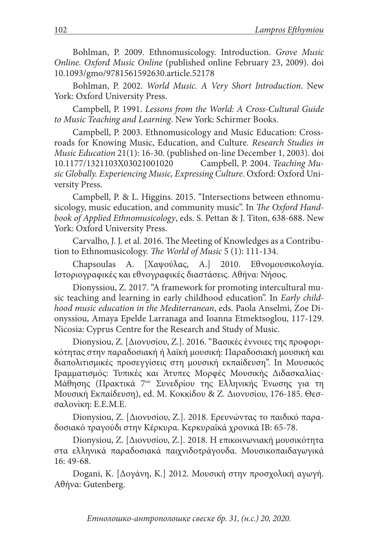Bohlman, P. 2009. Ethnomusicology. Introduction. *Grove Music Online. Oxford Music Online* (published online February 23, 2009). doi 10.1093/gmo/9781561592630.article.52178

Bohlman, P. 2002. *World Music. A Very Short Introduction*. New York: Oxford University Press.

Campbell, P. 1991. *Lessons from the World: A Cross-Cultural Guide to Music Teaching and Learning*. New York: Schirmer Books.

Campbell, P. 2003. Ethnomusicology and Music Education: Crossroads for Knowing Music, Education, and Culture*. Research Studies in Music Education* 21(1): 16-30. (published on-line December 1, 2003). doi 10.1177/1321103X03021001020 Campbell, P. 2004. *Teaching Music Globally. Experiencing Music, Expressing Culture*. Oxford: Oxford University Press.

Campbell, P. & L. Higgins. 2015. "Intersections between ethnomusicology, music education, and community music". In *The Oxford Handbook of Applied Ethnomusicology*, eds. S. Pettan & J. Titon, 638-688. New York: Oxford University Press.

Carvalho, J. J. et al. 2016. The Meeting of Knowledges as a Contribution to Ethnomusicology. *The World of Music* 5 (1): 111-134.

Chapsoulas A. [Χαψούλας, Α.] 2010. Εθνομουσικολογία. Ιστοριογραφικές και εθνογραφικές διαστάσεις. Αθήνα: Νήσος.

Dionyssiou, Z. 2017. "A framework for promoting intercultural music teaching and learning in early childhood education". In *Early childhood music education in the Mediterranean*, eds. Paola Anselmi, Zoe Dionyssiou, Amaya Epelde Larranaga and Ioanna Etmektsoglou, 117-129. Nicosia: Cyprus Centre for the Research and Study of Music.

Dionysiou, Z. [Διονυσίου, Ζ.]. 2016. "Βασικές έννοιες της προφορικότητας στην παραδοσιακή ή λαϊκή μουσική: Παραδοσιακή μουσική και διαπολιτισμικές προσεγγίσεις στη μουσική εκπαίδευση". In Μουσικός Γραμματισμός: Τυπικές και Άτυπες Μορφές Μουσικής Διδασκαλίας-Μάθησης (Πρακτικά 7ου Συνεδρίου της Ελληνικής Ένωσης για τη Μουσική Εκπαίδευση), ed. Μ. Κοκκίδου & Ζ. Διονυσίου, 176-185. Θεσσαλονίκη: Ε.Ε.Μ.Ε.

Dionysiou, Z. [Διονυσίου, Ζ.]. 2018. Ερευνώντας το παιδικό παραδοσιακό τραγούδι στην Κέρκυρα. Κερκυραϊκά χρονικά ΙΒ: 65-78.

Dionysiou, Z. [Διονυσίου, Ζ.]. 2018. Η επικοινωνιακή μουσικότητα στα ελληνικά παραδοσιακά παιχνιδοτράγουδα. Μουσικοπαιδαγωγικά 16: 49-68.

Dogani, K. [Δογάνη, Κ.] 2012. Μουσική στην προσχολική αγωγή. Αθήνα: Gutenberg.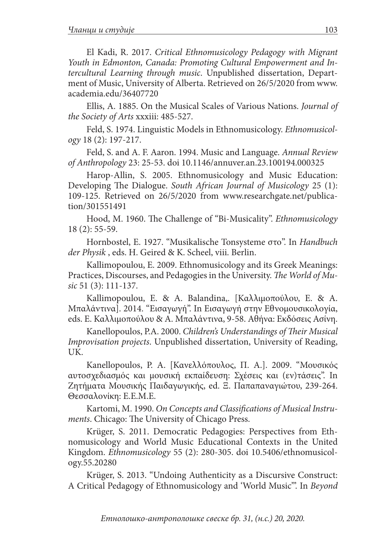El Kadi, R. 2017. *Critical Ethnomusicology Pedagogy with Migrant Youth in Edmonton, Canada: Promoting Cultural Empowerment and Intercultural Learning through music*. Unpublished dissertation, Department of Music, University of Alberta. Retrieved on 26/5/2020 from www. academia.edu/36407720

Ellis, A. 1885. On the Musical Scales of Various Nations. *Journal of the Society of Arts* xxxiii: 485-527.

Feld, S. 1974. Linguistic Models in Ethnomusicology. *Ethnomusicology* 18 (2): 197-217.

Feld, S. and A. F. Aaron. 1994. Music and Language. *Annual Review of Anthropology* 23: 25-53. doi 10.1146/annuver.an.23.100194.000325

Harop-Allin, S. 2005. Ethnomusicology and Music Education: Developing The Dialogue. *South African Journal of Musicology* 25 (1): 109-125. Retrieved on 26/5/2020 from www.researchgate.net/publication/301551491

Hood, M. 1960. The Challenge of "Bi-Musicality". *Ethnomusicology*  18 (2): 55-59.

Hornbostel, E. 1927. "Musikalische Tonsysteme στο". In *Handbuch der Physik* , eds. H. Geired & K. Scheel, viii. Berlin.

Kallimopoulou, E. 2009. Ethnomusicology and its Greek Meanings: Practices, Discourses, and Pedagogies in the University. *The World of Music* 51 (3): 111-137.

Kallimopoulou, E. & A. Balandina,. [Καλλιμοπούλου, Ε. & A. Μπαλάντινα]. 2014. "Εισαγωγή". In Εισαγωγή στην Εθνομουσικολογία, eds. Ε. Καλλιμοπούλου & Α. Μπαλάντινα, 9-58. Αθήνα: Εκδόσεις Ασίνη.

Kanellopoulos, P.A. 2000. *Children's Understandings of Their Musical Improvisation projects*. Unpublished dissertation, University of Reading, UK.

Kanellopoulos, P. A. [Κανελλόπουλος, Π. Α.]. 2009. "Μουσικός αυτοσχεδιασμός και μουσική εκπαίδευση: Σχέσεις και (εν)τάσεις". In Ζητήματα Μουσικής Παιδαγωγικής, ed. Ξ. Παπαπαναγιώτου, 239-264. Θεσσαλονίκη: Ε.Ε.Μ.Ε.

Kartomi, M. 1990. *On Concepts and Classifications of Musical Instruments*. Chicago: The University of Chicago Press.

Krüger, S. 2011. Democratic Pedagogies: Perspectives from Ethnomusicology and World Music Educational Contexts in the United Kingdom. *Ethnomusicology* 55 (2): 280-305. doi 10.5406/ethnomusicology.55.20280

Krüger, S. 2013. "Undoing Authenticity as a Discursive Construct: A Critical Pedagogy of Ethnomusicology and 'World Music'". In *Beyond*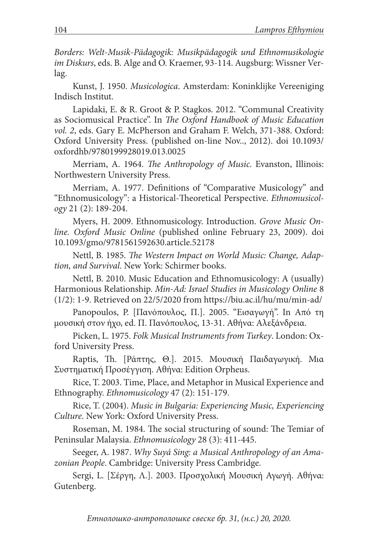*Borders: Welt-Musik-Pädagogik: Musikpädagogik und Ethnomusikologie im Diskurs*, eds. B. Alge and O. Kraemer, 93-114. Augsburg: Wissner Verlag.

Kunst, J. 1950. *Musicologica*. Amsterdam: Koninklijke Vereeniging Indisch Institut.

Lapidaki, E. & R. Groot & P. Stagkos. 2012. "Communal Creativity as Sociomusical Practice". In *The Oxford Handbook of Music Education vol. 2*, eds. Gary E. McPherson and Graham F. Welch, 371-388. Oxford: Oxford University Press. (published on-line Nov.., 2012). doi 10.1093/ oxfordhb/9780199928019.013.0025

Merriam, A. 1964. *The Anthropology of Music*. Evanston, Illinois: Northwestern University Press.

Merriam, A. 1977. Definitions of "Comparative Musicology" and "Ethnomusicology": a Historical-Theoretical Perspective. *Ethnomusicology* 21 (2): 189-204.

Myers, H. 2009. Ethnomusicology. Introduction. *Grove Music Online. Oxford Music Online* (published online February 23, 2009). doi 10.1093/gmo/9781561592630.article.52178

Nettl, B. 1985. *The Western Impact on World Music: Change, Adaption, and Survival*. New York: Schirmer books.

Nettl, B. 2010. Music Education and Ethnomusicology: A (usually) Harmonious Relationship. *Min-Ad: Israel Studies in Musicology Online* 8 (1/2): 1-9. Retrieved on 22/5/2020 from https://biu.ac.il/hu/mu/min-ad/

Panopoulos, P. [Πανόπουλος, Π.]. 2005. "Εισαγωγή". In Από τη μουσική στον ήχο, ed. Π. Πανόπουλος, 13-31. Αθήνα: Αλεξάνδρεια.

Picken, L. 1975. *Folk Musical Instruments from Turkey*. London: Oxford University Press.

Raptis, Th. [Ράπτης, Θ.]. 2015. Μουσική Παιδαγωγική. Μια Συστηματική Προσέγγιση. Αθήνα: Edition Orpheus.

Rice, T. 2003. Time, Place, and Metaphor in Musical Experience and Ethnography. *Ethnomusicology* 47 (2): 151-179.

Rice, T. (2004). *Music in Bulgaria: Experiencing Music, Experiencing Culture*. New York: Oxford University Press.

Roseman, M. 1984. The social structuring of sound: The Temiar of Peninsular Malaysia. *Ethnomusicology* 28 (3): 411-445.

Seeger, A. 1987. *Why Suyá Sing: a Musical Anthropology of an Amazonian People*. Cambridge: University Press Cambridge.

Sergi, L. [Σέργη, Λ.]. 2003. Προσχολική Μουσική Αγωγή. Αθήνα: Gutenberg.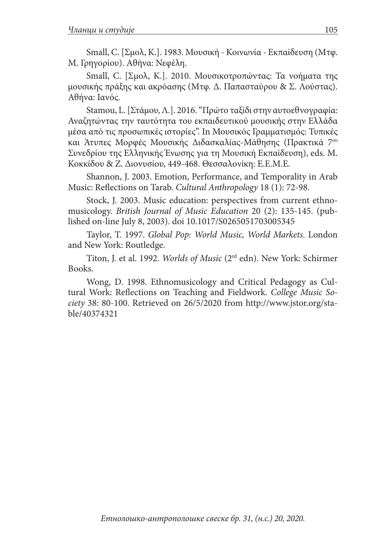Small, C. [Σμολ, Κ.]. 1983. Μουσική - Κοινωνία - Εκπαίδευση (Μτφ. Μ. Γρηγορίου). Αθήνα: Νεφέλη.

Small, C. [Σμολ, Κ.]. 2010. Μουσικοτροπώντας: Τα νοήματα της μουσικής πράξης και ακρόασης (Μτφ. Δ. Παπασταύρου & Σ. Λούστας). Αθήνα: Ιανός.

Stamou, L. [Στάμου, Λ.]. 2016. "Πρώτο ταξίδι στην αυτοεθνογραφία: Αναζητώντας την ταυτότητα του εκπαιδευτικού μουσικής στην Ελλάδα μέσα από τις προσωπικές ιστορίες". In Μουσικός Γραμματισμός: Τυπικές και Άτυπες Μορφές Μουσικής Διδασκαλίας-Μάθησης (Πρακτικά 7ου Συνεδρίου της Ελληνικής Ένωσης για τη Μουσική Εκπαίδευση), eds. Μ. Κοκκίδου & Ζ. Διονυσίου, 449-468. Θεσσαλονίκη: Ε.Ε.Μ.Ε.

Shannon, J. 2003. Emotion, Performance, and Temporality in Arab Music: Reflections on Tarab. *Cultural Anthropology* 18 (1): 72-98.

Stock, J. 2003. Music education: perspectives from current ethnomusicology. *British Journal of Music Education* 20 (2): 135-145. (published on-line July 8, 2003). doi 10.1017/S0265051703005345

Taylor, T. 1997. *Global Pop: World Music, World Markets*. London and New York: Routledge.

Titon, J. et al. 1992. *Worlds of Music* (2rd edn). New York: Schirmer Books.

Wong, D. 1998. Ethnomusicology and Critical Pedagogy as Cultural Work: Reflections on Teaching and Fieldwork. *College Music Society* 38: 80-100. Retrieved on 26/5/2020 from http://www.jstor.org/stable/40374321